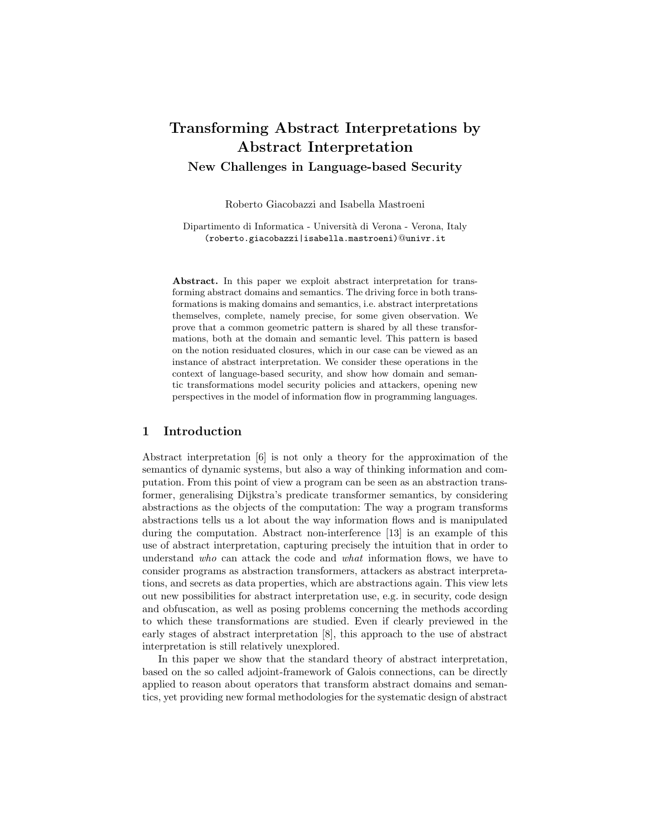# Transforming Abstract Interpretations by Abstract Interpretation New Challenges in Language-based Security

Roberto Giacobazzi and Isabella Mastroeni

Dipartimento di Informatica - Università di Verona - Verona, Italy (roberto.giacobazzi|isabella.mastroeni)@univr.it

Abstract. In this paper we exploit abstract interpretation for transforming abstract domains and semantics. The driving force in both transformations is making domains and semantics, i.e. abstract interpretations themselves, complete, namely precise, for some given observation. We prove that a common geometric pattern is shared by all these transformations, both at the domain and semantic level. This pattern is based on the notion residuated closures, which in our case can be viewed as an instance of abstract interpretation. We consider these operations in the context of language-based security, and show how domain and semantic transformations model security policies and attackers, opening new perspectives in the model of information flow in programming languages.

## 1 Introduction

Abstract interpretation [6] is not only a theory for the approximation of the semantics of dynamic systems, but also a way of thinking information and computation. From this point of view a program can be seen as an abstraction transformer, generalising Dijkstra's predicate transformer semantics, by considering abstractions as the objects of the computation: The way a program transforms abstractions tells us a lot about the way information flows and is manipulated during the computation. Abstract non-interference [13] is an example of this use of abstract interpretation, capturing precisely the intuition that in order to understand who can attack the code and what information flows, we have to consider programs as abstraction transformers, attackers as abstract interpretations, and secrets as data properties, which are abstractions again. This view lets out new possibilities for abstract interpretation use, e.g. in security, code design and obfuscation, as well as posing problems concerning the methods according to which these transformations are studied. Even if clearly previewed in the early stages of abstract interpretation [8], this approach to the use of abstract interpretation is still relatively unexplored.

In this paper we show that the standard theory of abstract interpretation, based on the so called adjoint-framework of Galois connections, can be directly applied to reason about operators that transform abstract domains and semantics, yet providing new formal methodologies for the systematic design of abstract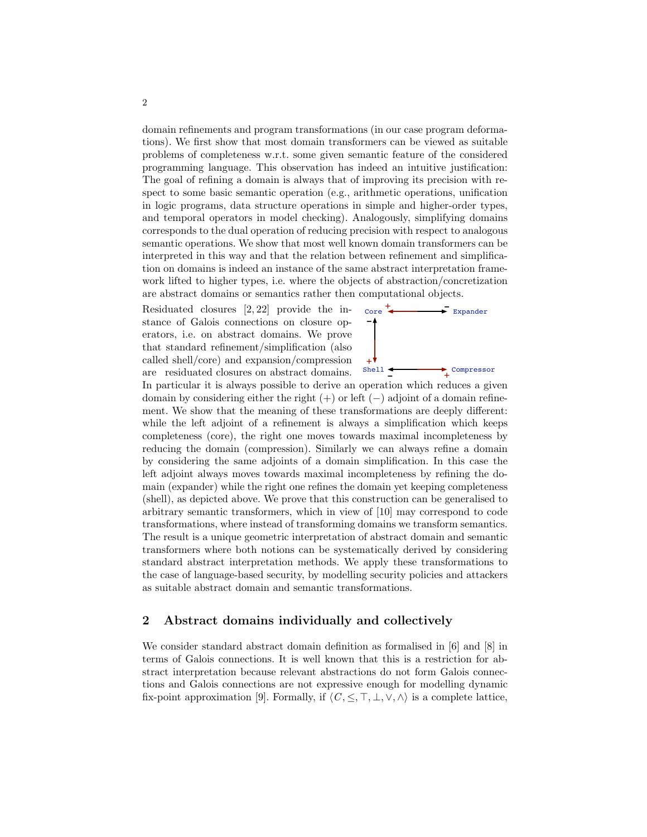domain refinements and program transformations (in our case program deformations). We first show that most domain transformers can be viewed as suitable problems of completeness w.r.t. some given semantic feature of the considered programming language. This observation has indeed an intuitive justification: The goal of refining a domain is always that of improving its precision with respect to some basic semantic operation (e.g., arithmetic operations, unification in logic programs, data structure operations in simple and higher-order types, and temporal operators in model checking). Analogously, simplifying domains corresponds to the dual operation of reducing precision with respect to analogous semantic operations. We show that most well known domain transformers can be interpreted in this way and that the relation between refinement and simplification on domains is indeed an instance of the same abstract interpretation framework lifted to higher types, i.e. where the objects of abstraction/concretization are abstract domains or semantics rather then computational objects.

Residuated closures [2, 22] provide the instance of Galois connections on closure operators, i.e. on abstract domains. We prove that standard refinement/simplification (also called shell/core) and expansion/compression are residuated closures on abstract domains.



In particular it is always possible to derive an operation which reduces a given domain by considering either the right  $(+)$  or left  $(-)$  adjoint of a domain refinement. We show that the meaning of these transformations are deeply different: while the left adjoint of a refinement is always a simplification which keeps completeness (core), the right one moves towards maximal incompleteness by reducing the domain (compression). Similarly we can always refine a domain by considering the same adjoints of a domain simplification. In this case the left adjoint always moves towards maximal incompleteness by refining the domain (expander) while the right one refines the domain yet keeping completeness (shell), as depicted above. We prove that this construction can be generalised to arbitrary semantic transformers, which in view of [10] may correspond to code transformations, where instead of transforming domains we transform semantics. The result is a unique geometric interpretation of abstract domain and semantic transformers where both notions can be systematically derived by considering standard abstract interpretation methods. We apply these transformations to the case of language-based security, by modelling security policies and attackers as suitable abstract domain and semantic transformations.

## 2 Abstract domains individually and collectively

We consider standard abstract domain definition as formalised in [6] and [8] in terms of Galois connections. It is well known that this is a restriction for abstract interpretation because relevant abstractions do not form Galois connections and Galois connections are not expressive enough for modelling dynamic fix-point approximation [9]. Formally, if  $\langle C, \leq, \top, \bot, \vee, \wedge \rangle$  is a complete lattice,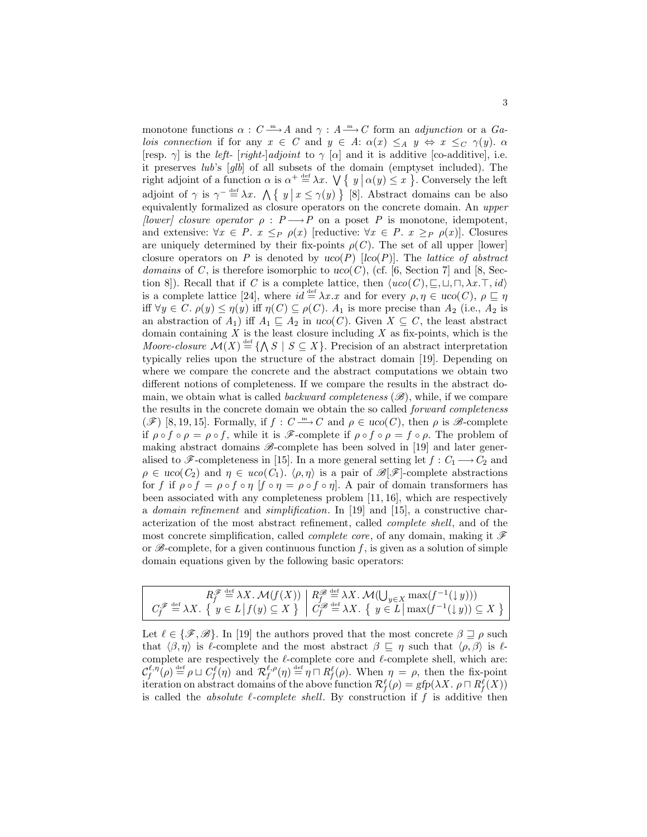monotone functions  $\alpha: C \longrightarrow A$  and  $\gamma: A \longrightarrow C$  form an *adjunction* or a Ga*lois connection* if for any  $x \in C$  and  $y \in A$ :  $\alpha(x) \leq_A y \Leftrightarrow x \leq_C \gamma(y)$ .  $\alpha$ [resp.  $\gamma$ ] is the *left-* [*right-*]*adjoint* to  $\gamma$  [ $\alpha$ ] and it is additive [co-additive], i.e. it preserves lub's [glb] of all subsets of the domain (emptyset included). The right adjoint of a function  $\alpha$  is  $\alpha^+ \stackrel{\text{def}}{=} \lambda x$ .  $\bigvee \{ y \mid \alpha(y) \leq x \}$ . Conversely the left adjoint of  $\gamma$  is  $\gamma^{-} \stackrel{\text{def}}{=} \lambda x$ .  $\Lambda \{ y \mid x \leq \gamma(y) \}$  [8]. Abstract domains can be also equivalently formalized as closure operators on the concrete domain. An upper [lower] closure operator  $\rho : P \longrightarrow P$  on a poset P is monotone, idempotent, and extensive:  $\forall x \in P$ .  $x \leq_P \rho(x)$  [reductive:  $\forall x \in P$ .  $x \geq_P \rho(x)$ ]. Closures are uniquely determined by their fix-points  $\rho(C)$ . The set of all upper [lower] closure operators on P is denoted by  $uco(P)$  [lco(P)]. The lattice of abstract domains of C, is therefore isomorphic to uco(C), (cf. [6, Section 7] and [8, Section 8]). Recall that if C is a complete lattice, then  $\langle uco(C), \sqsubseteq, \sqcup, \sqcap, \lambda x. \top, id \rangle$ is a complete lattice [24], where  $id \stackrel{\text{def}}{=} \lambda x.x$  and for every  $\rho, \eta \in uco(C), \rho \sqsubseteq \eta$ iff  $\forall y \in C$ .  $\rho(y) \leq \eta(y)$  iff  $\eta(C) \subseteq \rho(C)$ .  $A_1$  is more precise than  $A_2$  (i.e.,  $A_2$  is an abstraction of  $A_1$ ) iff  $A_1 \subseteq A_2$  in uco(C). Given  $X \subseteq C$ , the least abstract domain containing  $X$  is the least closure including  $X$  as fix-points, which is the Moore-closure  $\mathcal{M}(X) \stackrel{\text{def}}{=} \{\bigwedge S \mid S \subseteq X\}.$  Precision of an abstract interpretation typically relies upon the structure of the abstract domain [19]. Depending on where we compare the concrete and the abstract computations we obtain two different notions of completeness. If we compare the results in the abstract domain, we obtain what is called *backward completeness*  $(\mathscr{B})$ , while, if we compare the results in the concrete domain we obtain the so called forward completeness  $(\mathscr{F})$  [8, 19, 15]. Formally, if  $f: C \longrightarrow C$  and  $\rho \in uco(C)$ , then  $\rho$  is  $\mathscr{B}$ -complete if  $\rho \circ f \circ \rho = \rho \circ f$ , while it is  $\mathscr{F}$ -complete if  $\rho \circ f \circ \rho = f \circ \rho$ . The problem of making abstract domains  $\mathscr{B}$ -complete has been solved in [19] and later generalised to  $\mathscr{F}$ -completeness in [15]. In a more general setting let  $f: C_1 \longrightarrow C_2$  and  $\rho \in uco(C_2)$  and  $\eta \in uco(C_1)$ .  $\langle \rho, \eta \rangle$  is a pair of  $\mathscr{B}[\mathscr{F}]$ -complete abstractions for f if  $\rho \circ f = \rho \circ f \circ \eta$  [f  $\circ \eta = \rho \circ f \circ \eta$ ]. A pair of domain transformers has been associated with any completeness problem [11, 16], which are respectively a domain refinement and simplification. In [19] and [15], a constructive characterization of the most abstract refinement, called complete shell, and of the most concrete simplification, called *complete core*, of any domain, making it  $\mathscr F$ or  $\mathscr{B}$ -complete, for a given continuous function f, is given as a solution of simple domain equations given by the following basic operators:

| $\begin{array}{c}\nR_f^{\mathscr{F}} \stackrel{\text{def}}{=} \lambda X. \ \mathcal{M}(f(X)) \left  \begin{array}{c} R_f^{\mathscr{F}} \stackrel{\text{def}}{=} \lambda X. \ \mathcal{M}(\bigcup_{y \in X} \max(f^{-1}(\downarrow y))) \\ \mathcal{C}_f^{\mathscr{F}} \stackrel{\text{def}}{=} \lambda X. \ \{ y \in L \, \big  \, f(y) \subseteq X \ \} \end{array} \right  \begin{array}{c} R_f^{\mathscr{F}} \stackrel{\text{def}}{=} \lambda X. \ \mathcal{M}(\bigcup_{y \in X} \max(f^{-1}(\downarrow y))) \\ \$ |
|-----------------------------------------------------------------------------------------------------------------------------------------------------------------------------------------------------------------------------------------------------------------------------------------------------------------------------------------------------------------------------------------------------------------------------------------------------------------------------------------------------------------------|

Let  $\ell \in \{\mathscr{F}, \mathscr{B}\}\.$  In [19] the authors proved that the most concrete  $\beta \sqsupseteq \rho$  such that  $\langle \beta, \eta \rangle$  is  $\ell$ -complete and the most abstract  $\beta \subseteq \eta$  such that  $\langle \rho, \beta \rangle$  is  $\ell$ complete are respectively the  $\ell$ -complete core and  $\ell$ -complete shell, which are:  $\mathcal{C}_f^{\ell,\eta}(\rho) \stackrel{\text{def}}{=} \rho \sqcup C_f^{\ell}(\eta)$  and  $\mathcal{R}_f^{\ell,\rho}(\eta) \stackrel{\text{def}}{=} \eta \sqcap R_f^{\ell}(\rho)$ . When  $\eta = \rho$ , then the fix-point iteration on abstract domains of the above function  $\mathcal{R}_f^{\ell}(\rho) = gfp(\lambda X \cdot \rho \cap R_f^{\ell}(X))$ is called the *absolute*  $\ell$ *-complete shell*. By construction if f is additive then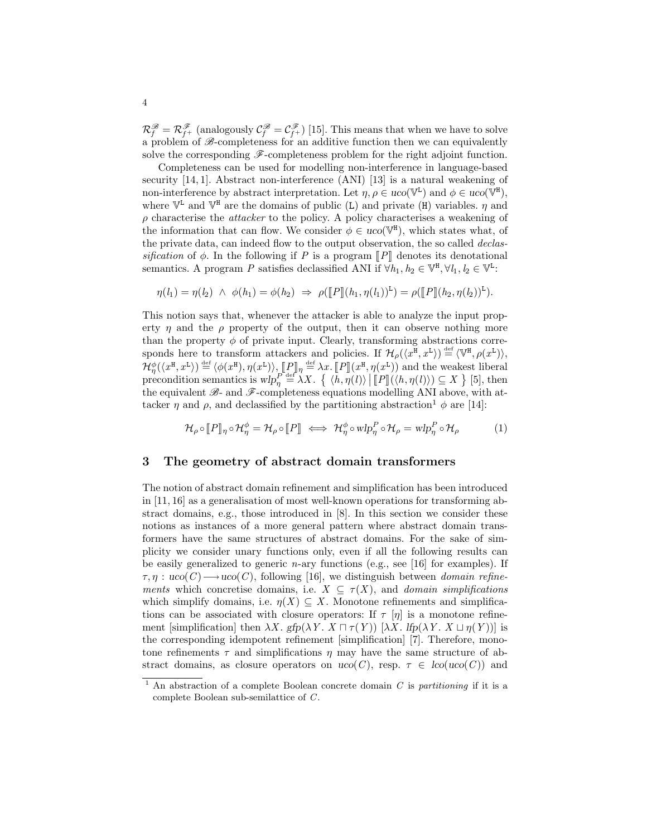$\mathcal{R}_f^{\mathscr{B}} = \mathcal{R}_{f^+}^{\mathscr{F}}$  (analogously  $\mathcal{C}_f^{\mathscr{B}} = \mathcal{C}_{f^+}^{\mathscr{F}}$ ) [15]. This means that when we have to solve a problem of  $\mathscr{B}$ -completeness for an additive function then we can equivalently solve the corresponding  $\mathscr{F}$ -completeness problem for the right adjoint function.

Completeness can be used for modelling non-interference in language-based security [14, 1]. Abstract non-interference (ANI) [13] is a natural weakening of non-interference by abstract interpretation. Let  $\eta, \rho \in u\text{co}(\mathbb{V}^{\text{L}})$  and  $\phi \in u\text{co}(\mathbb{V}^{\text{H}})$ , where  $\mathbb{V}^{\mathsf{L}}$  and  $\mathbb{V}^{\mathsf{H}}$  are the domains of public (L) and private (H) variables.  $\eta$  and  $\rho$  characterise the *attacker* to the policy. A policy characterises a weakening of the information that can flow. We consider  $\phi \in uco(\mathbb{V}^{\mathbb{H}})$ , which states what, of the private data, can indeed flow to the output observation, the so called *declas*sification of  $\phi$ . In the following if P is a program  $\llbracket P \rrbracket$  denotes its denotational semantics. A program P satisfies declassified ANI if  $\forall h_1, h_2 \in \mathbb{V}^{\mathbb{H}}, \forall l_1, l_2 \in \mathbb{V}^{\mathbb{L}}$ :

$$
\eta(l_1) = \eta(l_2) \ \wedge \ \phi(h_1) = \phi(h_2) \ \Rightarrow \ \rho([\![P]\!](h_1, \eta(l_1))^{\mathbb{L}}) = \rho([\![P]\!](h_2, \eta(l_2))^{\mathbb{L}}).
$$

This notion says that, whenever the attacker is able to analyze the input property  $\eta$  and the  $\rho$  property of the output, then it can observe nothing more than the property  $\phi$  of private input. Clearly, transforming abstractions corresponds here to transform attackers and policies. If  $\mathcal{H}_{\rho}(\langle x^{\mathbb{H}}, x^{\mathbb{L}} \rangle) \stackrel{\text{def}}{=} \langle \mathbb{V}^{\mathbb{H}}, \rho(x^{\mathbb{L}}) \rangle$ ,  $\mathcal{H}_{\eta}^{\phi}(\langle x^{\text{H}}, x^{\text{L}} \rangle) \stackrel{\text{def}}{=} \langle \phi(x^{\text{H}}), \eta(x^{\text{L}}) \rangle$ ,  $\llbracket P \rrbracket_{\eta} \stackrel{\text{def}}{=} \lambda x$ .  $\llbracket P \rrbracket(x^{\text{H}}, \eta(x^{\text{L}}))$  and the weakest liberal<br>precondition somewhere is when  $\llbracket P \rrbracket(x^{\text{H}}, \eta(x^{\text{L}}))$ .  $\llbracket P \$ precondition semantics is  $wlp^{\text{red}}(X)$ .  $\{\langle h, \eta(l)\rangle | [[P]](\langle h, \eta(l)\rangle) \subseteq X\}$  [5], then<br>the equivalent  $\mathcal{R}$  and  $\mathcal{R}$  completences countions modelling AM above with at the equivalent  $\mathscr{B}_-$  and  $\mathscr{F}_-$ completeness equations modelling ANI above, with attacker *η* and  $\rho$ , and declassified by the partitioning abstraction<sup>1</sup>  $\phi$  are [14]:

$$
\mathcal{H}_{\rho} \circ \llbracket P \rrbracket_{\eta} \circ \mathcal{H}_{\eta}^{\phi} = \mathcal{H}_{\rho} \circ \llbracket P \rrbracket \iff \mathcal{H}_{\eta}^{\phi} \circ \text{wlp}_{\eta}^{P} \circ \mathcal{H}_{\rho} = \text{wlp}_{\eta}^{P} \circ \mathcal{H}_{\rho} \tag{1}
$$

## 3 The geometry of abstract domain transformers

The notion of abstract domain refinement and simplification has been introduced in [11, 16] as a generalisation of most well-known operations for transforming abstract domains, e.g., those introduced in [8]. In this section we consider these notions as instances of a more general pattern where abstract domain transformers have the same structures of abstract domains. For the sake of simplicity we consider unary functions only, even if all the following results can be easily generalized to generic *n*-ary functions (e.g., see [16] for examples). If  $\tau, \eta$ : uco $(C) \longrightarrow$ uco $(C)$ , following [16], we distinguish between *domain refine*ments which concretise domains, i.e.  $X \subseteq \tau(X)$ , and domain simplifications which simplify domains, i.e.  $\eta(X) \subseteq X$ . Monotone refinements and simplifications can be associated with closure operators: If  $\tau$  [η] is a monotone refinement [simplification] then  $\lambda X$ . gfp( $\lambda Y$ .  $X \sqcap \tau(Y)$ ) [ $\lambda X$ . lfp( $\lambda Y$ .  $X \sqcup \eta(Y)$ )] is the corresponding idempotent refinement [simplification] [7]. Therefore, monotone refinements  $\tau$  and simplifications  $\eta$  may have the same structure of abstract domains, as closure operators on  $uco(C)$ , resp.  $\tau \in \text{loc}(uco(C))$  and

<sup>&</sup>lt;sup>1</sup> An abstraction of a complete Boolean concrete domain  $C$  is partitioning if it is a complete Boolean sub-semilattice of C.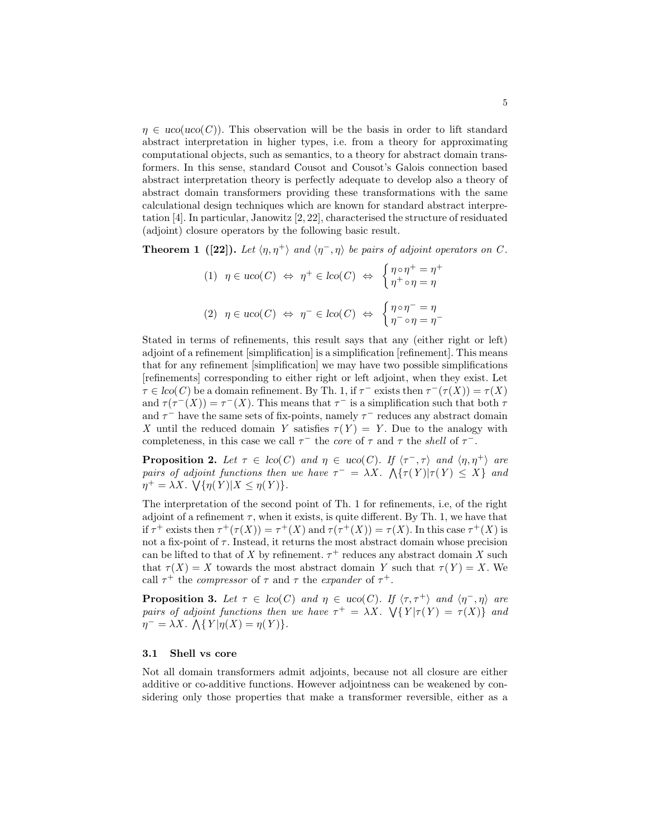$\eta \in uco(uco(C))$ . This observation will be the basis in order to lift standard abstract interpretation in higher types, i.e. from a theory for approximating computational objects, such as semantics, to a theory for abstract domain transformers. In this sense, standard Cousot and Cousot's Galois connection based abstract interpretation theory is perfectly adequate to develop also a theory of abstract domain transformers providing these transformations with the same calculational design techniques which are known for standard abstract interpretation [4]. In particular, Janowitz [2, 22], characterised the structure of residuated (adjoint) closure operators by the following basic result.

**Theorem 1** ([22]). Let  $\langle \eta, \eta^+ \rangle$  and  $\langle \eta^-, \eta \rangle$  be pairs of adjoint operators on C.

$$
(1) \quad \eta \in uco(C) \iff \eta^+ \in lco(C) \iff \begin{cases} \eta \circ \eta^+ = \eta^+ \\ \eta^+ \circ \eta = \eta \end{cases}
$$

$$
(2) \quad \eta \in uco(C) \iff \eta^- \in lco(C) \iff \begin{cases} \eta \circ \eta^- = \eta \\ \eta^- \circ \eta = \eta^- \end{cases}
$$

Stated in terms of refinements, this result says that any (either right or left) adjoint of a refinement [simplification] is a simplification [refinement]. This means that for any refinement [simplification] we may have two possible simplifications [refinements] corresponding to either right or left adjoint, when they exist. Let  $\tau \in \text{loc}(C)$  be a domain refinement. By Th. 1, if  $\tau^-$  exists then  $\tau^-(\tau(X)) = \tau(X)$ and  $\tau(\tau^{-1}(X)) = \tau^{-1}(X)$ . This means that  $\tau^{-1}$  is a simplification such that both  $\tau$ and  $\tau^-$  have the same sets of fix-points, namely  $\tau^-$  reduces any abstract domain X until the reduced domain Y satisfies  $\tau(Y) = Y$ . Due to the analogy with completeness, in this case we call  $\tau^-$  the core of  $\tau$  and  $\tau$  the shell of  $\tau^-$ .

**Proposition 2.** Let  $\tau \in \text{loc}(C)$  and  $\eta \in \text{uco}(C)$ . If  $\langle \tau^-, \tau \rangle$  and  $\langle \eta, \eta^+ \rangle$  are pairs of adjoint functions then we have  $\tau^- = \lambda X$ .  $\Lambda\{\tau(Y)|\tau(Y) \leq X\}$  and  $\eta^+ = \lambda X$ .  $\bigvee \{ \eta(Y) | X \leq \eta(Y) \}.$ 

The interpretation of the second point of Th. 1 for refinements, i.e, of the right adjoint of a refinement  $\tau$ , when it exists, is quite different. By Th. 1, we have that if  $\tau^+$  exists then  $\tau^+(\tau(X)) = \tau^+(X)$  and  $\tau(\tau^+(X)) = \tau(X)$ . In this case  $\tau^+(X)$  is not a fix-point of  $\tau$ . Instead, it returns the most abstract domain whose precision can be lifted to that of X by refinement.  $\tau^+$  reduces any abstract domain X such that  $\tau(X) = X$  towards the most abstract domain Y such that  $\tau(Y) = X$ . We call  $\tau^+$  the *compressor* of  $\tau$  and  $\tau$  the *expander* of  $\tau^+$ .

**Proposition 3.** Let  $\tau \in \text{loc}(C)$  and  $\eta \in \text{uco}(C)$ . If  $\langle \tau, \tau^+ \rangle$  and  $\langle \eta^-,\eta \rangle$  are pairs of adjoint functions then we have  $\tau^+ = \lambda X$ .  $\forall \{Y | \tau(Y) = \tau(X)\}$  and  $\eta^{-} = \lambda X. \Lambda \{ Y | \eta(X) = \eta(Y) \}.$ 

#### 3.1 Shell vs core

Not all domain transformers admit adjoints, because not all closure are either additive or co-additive functions. However adjointness can be weakened by considering only those properties that make a transformer reversible, either as a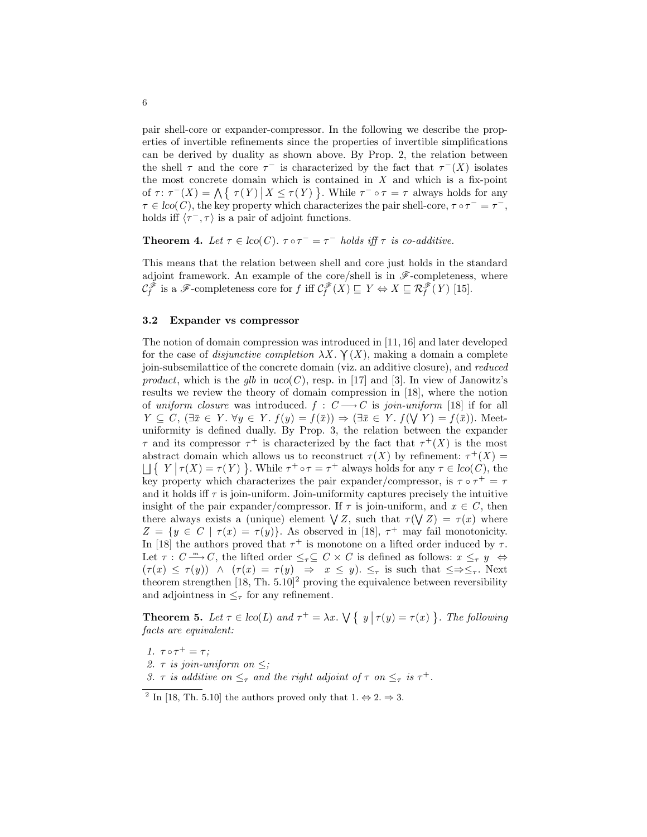pair shell-core or expander-compressor. In the following we describe the properties of invertible refinements since the properties of invertible simplifications can be derived by duality as shown above. By Prop. 2, the relation between the shell  $\tau$  and the core  $\tau^-$  is characterized by the fact that  $\tau^-(X)$  isolates the most concrete domain which is contained in  $X$  and which is a fix-point of  $\tau: \tau^{-}(X) = \bigwedge \{\tau(Y) | X \leq \tau(Y)\}\.$  While  $\tau^{-} \circ \tau = \tau$  always holds for any  $\tau \in \text{lco}(C)$ , the key property which characterizes the pair shell-core,  $\tau \circ \tau^- = \tau^-$ , holds iff  $\langle \tau^-, \tau \rangle$  is a pair of adjoint functions.

**Theorem 4.** Let  $\tau \in \text{lco}(C)$ .  $\tau \circ \tau^- = \tau^-$  holds iff  $\tau$  is co-additive.

This means that the relation between shell and core just holds in the standard adjoint framework. An example of the core/shell is in  $\mathscr{F}$ -completeness, where  $\mathcal{C}^{\mathscr{F}}_f$  is a  $\mathscr{F}$ -completeness core for f iff  $\mathcal{C}^{\mathscr{F}}_f(X) \sqsubseteq Y \Leftrightarrow X \sqsubseteq \mathcal{R}^{\mathscr{F}}_f(Y)$  [15].

#### 3.2 Expander vs compressor

The notion of domain compression was introduced in [11, 16] and later developed for the case of *disjunctive completion*  $\lambda X$ .  $\gamma(X)$ , making a domain a complete join-subsemilattice of the concrete domain (viz. an additive closure), and reduced product, which is the glb in  $uco(C)$ , resp. in [17] and [3]. In view of Janowitz's results we review the theory of domain compression in [18], where the notion of uniform closure was introduced.  $f : C \longrightarrow C$  is join-uniform [18] if for all  $Y \subseteq C$ ,  $(\exists \bar{x} \in Y. \forall y \in Y. f(y) = f(\bar{x})) \Rightarrow (\exists \bar{x} \in Y. f(\forall Y) = f(\bar{x}))$ . Meetuniformity is defined dually. By Prop. 3, the relation between the expander  $\tau$  and its compressor  $\tau^+$  is characterized by the fact that  $\tau^+(X)$  is the most abstract domain which allows us to reconstruct  $\tau(X)$  by refinement:  $\tau^+(X)$  =  $\Box \{ Y | \tau(X) = \tau(Y) \}$ . While  $\tau^+ \circ \tau = \tau^+$  always holds for any  $\tau \in \text{lco}(C)$ , the key property which characterizes the pair expander/compressor, is  $\tau \circ \tau^+ = \tau$ and it holds iff  $\tau$  is join-uniform. Join-uniformity captures precisely the intuitive insight of the pair expander/compressor. If  $\tau$  is join-uniform, and  $x \in C$ , then there always exists a (unique) element  $\bigvee Z$ , such that  $\tau(\bigvee Z) = \tau(x)$  where  $Z = \{y \in C \mid \tau(x) = \tau(y)\}\.$  As observed in [18],  $\tau^+$  may fail monotonicity. In [18] the authors proved that  $\tau^+$  is monotone on a lifted order induced by  $\tau$ . Let  $\tau: C \longrightarrow C$ , the lifted order  $\leq_{\tau} \subseteq C \times C$  is defined as follows:  $x \leq_{\tau} y \Leftrightarrow$  $(\tau(x) \leq \tau(y)) \land (\tau(x) = \tau(y) \Rightarrow x \leq y)$ .  $\leq_{\tau}$  is such that  $\leq \Rightarrow \leq_{\tau}$ . Next theorem strengthen  $[18, Th. 5.10]^2$  proving the equivalence between reversibility and adjointness in  $\leq_{\tau}$  for any refinement.

**Theorem 5.** Let  $\tau \in \text{loc}(L)$  and  $\tau^+ = \lambda x$ .  $\forall \{y | \tau(y) = \tau(x)\}$ . The following facts are equivalent:

- 1.  $\tau \circ \tau^+ = \tau$ ;
- 2.  $\tau$  is join-uniform on  $\leq$ ;
- 3.  $\tau$  is additive on  $\leq_{\tau}$  and the right adjoint of  $\tau$  on  $\leq_{\tau}$  is  $\tau^{+}$ .

<sup>&</sup>lt;sup>2</sup> In [18, Th. 5.10] the authors proved only that  $1 \leftrightarrow 2 \Rightarrow 3$ .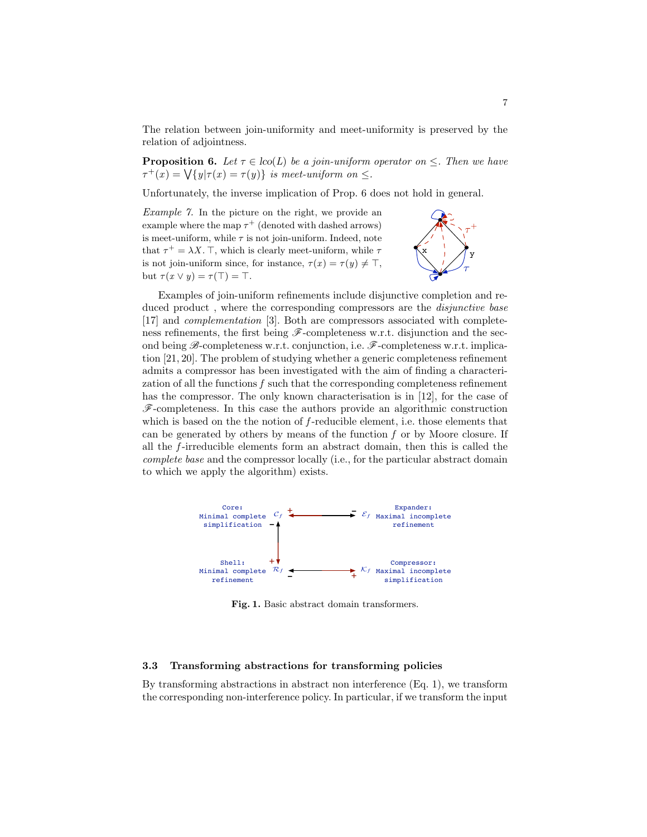The relation between join-uniformity and meet-uniformity is preserved by the relation of adjointness.

**Proposition 6.** Let  $\tau \in \text{loc}(L)$  be a join-uniform operator on  $\leq$ . Then we have  $\tau^+(x) = \sqrt{\{y|\tau(x) = \tau(y)\}}$  is meet-uniform on  $\leq$ .

Unfortunately, the inverse implication of Prop. 6 does not hold in general.

Example 7. In the picture on the right, we provide an example where the map  $\tau^+$  (denoted with dashed arrows) is meet-uniform, while  $\tau$  is not join-uniform. Indeed, note that  $\tau^+ = \lambda X$ . T, which is clearly meet-uniform, while  $\tau$ is not join-uniform since, for instance,  $\tau(x) = \tau(y) \neq \top$ , but  $\tau(x \vee y) = \tau(\top) = \top$ .



Examples of join-uniform refinements include disjunctive completion and reduced product, where the corresponding compressors are the *disjunctive base* [17] and complementation [3]. Both are compressors associated with completeness refinements, the first being  $\mathscr{F}$ -completeness w.r.t. disjunction and the second being  $\mathscr{B}$ -completeness w.r.t. conjunction, i.e.  $\mathscr{F}$ -completeness w.r.t. implication [21, 20]. The problem of studying whether a generic completeness refinement admits a compressor has been investigated with the aim of finding a characterization of all the functions  $f$  such that the corresponding completeness refinement has the compressor. The only known characterisation is in [12], for the case of F-completeness. In this case the authors provide an algorithmic construction which is based on the the notion of  $f$ -reducible element, i.e. those elements that can be generated by others by means of the function  $f$  or by Moore closure. If all the f -irreducible elements form an abstract domain, then this is called the complete base and the compressor locally (i.e., for the particular abstract domain to which we apply the algorithm) exists.



Fig. 1. Basic abstract domain transformers.

## 3.3 Transforming abstractions for transforming policies

By transforming abstractions in abstract non interference (Eq. 1), we transform the corresponding non-interference policy. In particular, if we transform the input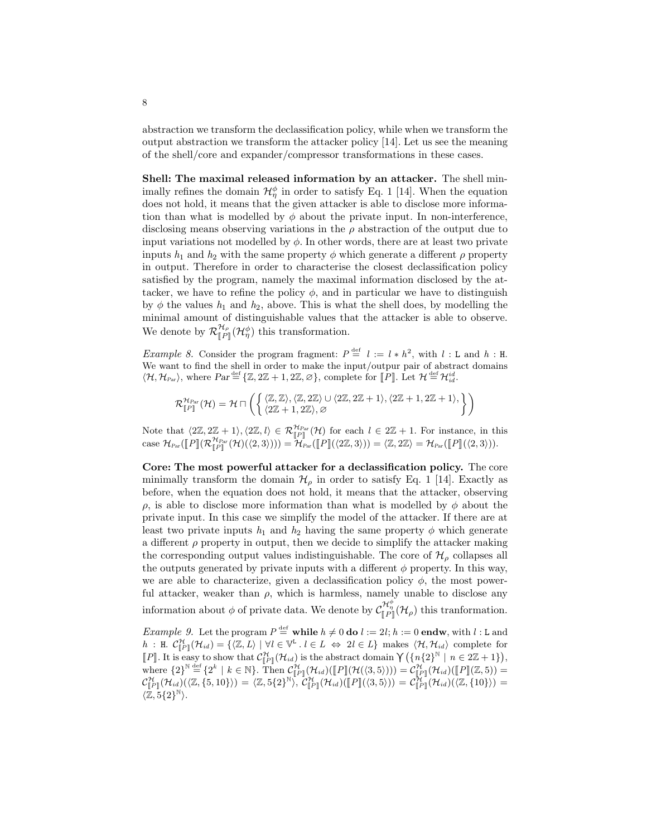abstraction we transform the declassification policy, while when we transform the output abstraction we transform the attacker policy [14]. Let us see the meaning of the shell/core and expander/compressor transformations in these cases.

Shell: The maximal released information by an attacker. The shell minimally refines the domain  $\mathcal{H}_{\eta}^{\phi}$  in order to satisfy Eq. 1 [14]. When the equation does not hold, it means that the given attacker is able to disclose more information than what is modelled by  $\phi$  about the private input. In non-interference, disclosing means observing variations in the  $\rho$  abstraction of the output due to input variations not modelled by  $\phi$ . In other words, there are at least two private inputs  $h_1$  and  $h_2$  with the same property  $\phi$  which generate a different  $\rho$  property in output. Therefore in order to characterise the closest declassification policy satisfied by the program, namely the maximal information disclosed by the attacker, we have to refine the policy  $\phi$ , and in particular we have to distinguish by  $\phi$  the values  $h_1$  and  $h_2$ , above. This is what the shell does, by modelling the minimal amount of distinguishable values that the attacker is able to observe. We denote by  $\mathcal{R}_{\mathbb{F}_P}^{\mathcal{H}_{\rho}}$  $H_{\rho}(\mathcal{H}_{\eta}^{\phi})$  this transformation.

*Example 8.* Consider the program fragment:  $P \stackrel{\text{def}}{=} l := l * h^2$ , with  $l : L$  and  $h : H$ . We want to find the shell in order to make the input/outpur pair of abstract domains  $\langle \mathcal{H}, \mathcal{H}_{\text{Par}} \rangle$ , where  $\text{Par} \stackrel{\text{def}}{=} \{ \mathbb{Z}, 2\mathbb{Z} + 1, 2\mathbb{Z}, \varnothing \}$ , complete for  $[\![\bar{P}]\!]$ . Let  $\mathcal{H}^{\text{def}}_{\text{ad}} \mathcal{H}^{\text{id}}_{\text{ad}}$ .

$$
\mathcal{R}^{\mathcal{H}_{Par}}_{\llbracket P\rrbracket}(\mathcal{H}) = \mathcal{H} \sqcap \left( \left\{ \begin{matrix} \langle \mathbb{Z}, \mathbb{Z} \rangle, \langle \mathbb{Z}, 2\mathbb{Z} \rangle \cup \langle 2\mathbb{Z}, 2\mathbb{Z}+1 \rangle, \langle 2\mathbb{Z}+1, 2\mathbb{Z}+1 \rangle, \\ \langle 2\mathbb{Z}+1, 2\mathbb{Z} \rangle, \varnothing \end{matrix} \right\} \right)
$$

Note that  $\langle 2\mathbb{Z}, 2\mathbb{Z} + 1 \rangle$ ,  $\langle 2\mathbb{Z}, l \rangle \in \mathcal{R}_{par}^{\mathcal{H}_{Par}}(\mathcal{H})$  for each  $l \in 2\mathbb{Z} + 1$ . For instance, in this case  $\mathcal{H}_{Par}(\llbracket P \rrbracket(\mathcal{R}_{\llbracket P \rrbracket}^{\mathcal{H}_{Par}}(\mathcal{H})(\langle 2, 3 \rangle))) = \mathcal{H}_{Par}^{\mathcal{H}}(\llbracket P \rrbracket(\langle 2\mathbb{Z}, 3 \rangle)) = \langle \mathbb{Z}, 2\mathbb{Z} \rangle = \mathcal{H}_{Par}(\llbracket P \rrbracket(\langle 2, 3 \rangle)).$ 

Core: The most powerful attacker for a declassification policy. The core minimally transform the domain  $\mathcal{H}_{\rho}$  in order to satisfy Eq. 1 [14]. Exactly as before, when the equation does not hold, it means that the attacker, observing ρ, is able to disclose more information than what is modelled by φ about the private input. In this case we simplify the model of the attacker. If there are at least two private inputs  $h_1$  and  $h_2$  having the same property  $\phi$  which generate a different  $\rho$  property in output, then we decide to simplify the attacker making the corresponding output values indistinguishable. The core of  $\mathcal{H}_{\rho}$  collapses all the outputs generated by private inputs with a different  $\phi$  property. In this way, we are able to characterize, given a declassification policy  $\phi$ , the most powerful attacker, weaker than  $\rho$ , which is harmless, namely unable to disclose any information about  $\phi$  of private data. We denote by  $\mathcal{C}_{\llbracket P \rrbracket}^{\mathcal{H}_{\phi}^{\phi}}(\mathcal{H}_{\rho})$  this tranformation.

*Example 9.* Let the program  $P \stackrel{\text{def}}{=}$  while  $h \neq 0$  do  $l := 2l; h := 0$  endw, with  $l : L$  and  $h$ : H.  $\mathcal{C}_{\mathbb{H}^n}^{\mathcal{H}}(\mathcal{H}_{id}) = \{ \langle \mathbb{Z}, L \rangle \mid \forall l \in \mathbb{V}^{\mathbb{L}} \cdot l \in L \Leftrightarrow 2l \in L \}$  makes  $\langle \mathcal{H}, \mathcal{H}_{id} \rangle$  complete for *n* . n.  $C_{[P]}(N_{id}) = \sqrt{2}$ ,  $D_i \mid N \in \mathbb{V}$  .  $i \in D \iff 2i \in D_f$  makes  $\langle N, N_{id} \rangle$  complete for  $[P]$ . It is easy to show that  $C_{[P]}^{\mathcal{H}}(\mathcal{H}_{id})$  is the abstract domain  $\gamma(\{n\{2\}^{\mathbb{N}} \mid n \in 2\mathbb{Z} + 1\})$ , where  ${2}^N \stackrel{\text{def}}{=} {2^k \mid k \in \mathbb{N}}$ . Then  $\mathcal{C}_{\llbracket P \rrbracket}^{\mathcal{H}}(\mathcal{H}_{id})([\llbracket P \rrbracket(\mathcal{H}_{id})([\llbracket P \rrbracket(\mathcal{H}_{id})([\llbracket P \rrbracket(\mathcal{H}_{id})]) = \mathcal{C}_{\llbracket P \rrbracket}^{\mathcal{H}}(\mathcal{H}_{id})([\llbracket P \rrbracket(\mathcal{H}_{id})([\llbracket P \rrbracket(\mathcal{H}_{id})([\llbracket Z, \{10\})]) = \mathcal{C}_{\llbracket P \$  $\langle \mathbb{Z}, \overline{5}\{2\}^{\mathbb{N}}\rangle.$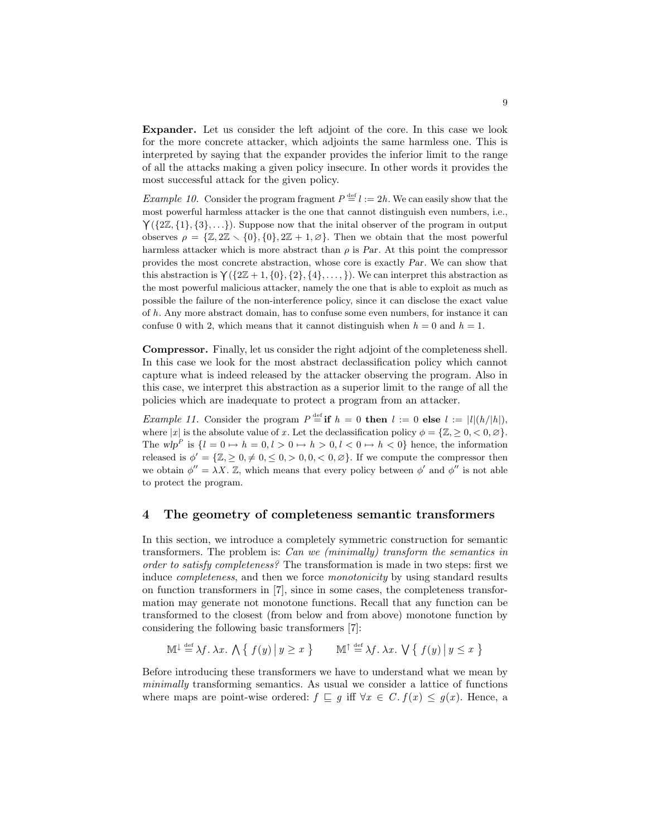Expander. Let us consider the left adjoint of the core. In this case we look for the more concrete attacker, which adjoints the same harmless one. This is interpreted by saying that the expander provides the inferior limit to the range of all the attacks making a given policy insecure. In other words it provides the most successful attack for the given policy.

*Example 10.* Consider the program fragment  $P \stackrel{\text{def}}{=} l := 2h$ . We can easily show that the most powerful harmless attacker is the one that cannot distinguish even numbers, i.e.,  $\Upsilon({2\mathbb{Z}}, {1}, {3}, \ldots)$ ). Suppose now that the initial observer of the program in output observes  $\rho = {\mathbb{Z}, 2\mathbb{Z} \setminus \{0\}, \{0\}, 2\mathbb{Z} + 1, \emptyset\}.$  Then we obtain that the most powerful harmless attacker which is more abstract than  $\rho$  is Par. At this point the compressor provides the most concrete abstraction, whose core is exactly Par. We can show that this abstraction is  $\gamma({2\mathbb{Z}+1}, {0}, {2}, {4}, \ldots)$ . We can interpret this abstraction as the most powerful malicious attacker, namely the one that is able to exploit as much as possible the failure of the non-interference policy, since it can disclose the exact value of h. Any more abstract domain, has to confuse some even numbers, for instance it can confuse 0 with 2, which means that it cannot distinguish when  $h = 0$  and  $h = 1$ .

Compressor. Finally, let us consider the right adjoint of the completeness shell. In this case we look for the most abstract declassification policy which cannot capture what is indeed released by the attacker observing the program. Also in this case, we interpret this abstraction as a superior limit to the range of all the policies which are inadequate to protect a program from an attacker.

*Example 11.* Consider the program  $P \stackrel{\text{def}}{=} \mathbf{if} \; h = 0$  then  $l := 0$  else  $l := |l|(h/|h|)$ , where |x| is the absolute value of x. Let the declassification policy  $\phi = \{Z_{n} > 0, 0, \emptyset\}$ . The wlp<sup>P</sup> is  $\{l = 0 \mapsto h = 0, l > 0 \mapsto h > 0, l < 0 \mapsto h < 0\}$  hence, the information released is  $\phi' = {\mathbb{Z}, \geq 0, \neq 0, \leq 0, > 0, 0, < 0, \varnothing}.$  If we compute the compressor then we obtain  $\phi'' = \lambda X$ . Z, which means that every policy between  $\phi'$  and  $\phi''$  is not able to protect the program.

## 4 The geometry of completeness semantic transformers

In this section, we introduce a completely symmetric construction for semantic transformers. The problem is: Can we (minimally) transform the semantics in order to satisfy completeness? The transformation is made in two steps: first we induce *completeness*, and then we force *monotonicity* by using standard results on function transformers in [7], since in some cases, the completeness transformation may generate not monotone functions. Recall that any function can be transformed to the closest (from below and from above) monotone function by considering the following basic transformers [7]:

$$
\mathbb{M}^{\downarrow} \stackrel{\text{def}}{=} \lambda f. \lambda x. \bigwedge \{ f(y) \, \big| \, y \ge x \, \} \qquad \mathbb{M}^{\uparrow} \stackrel{\text{def}}{=} \lambda f. \lambda x. \bigvee \{ f(y) \, \big| \, y \le x \, \}
$$

Before introducing these transformers we have to understand what we mean by minimally transforming semantics. As usual we consider a lattice of functions where maps are point-wise ordered:  $f \subseteq g$  iff  $\forall x \in C$ .  $f(x) \le g(x)$ . Hence, a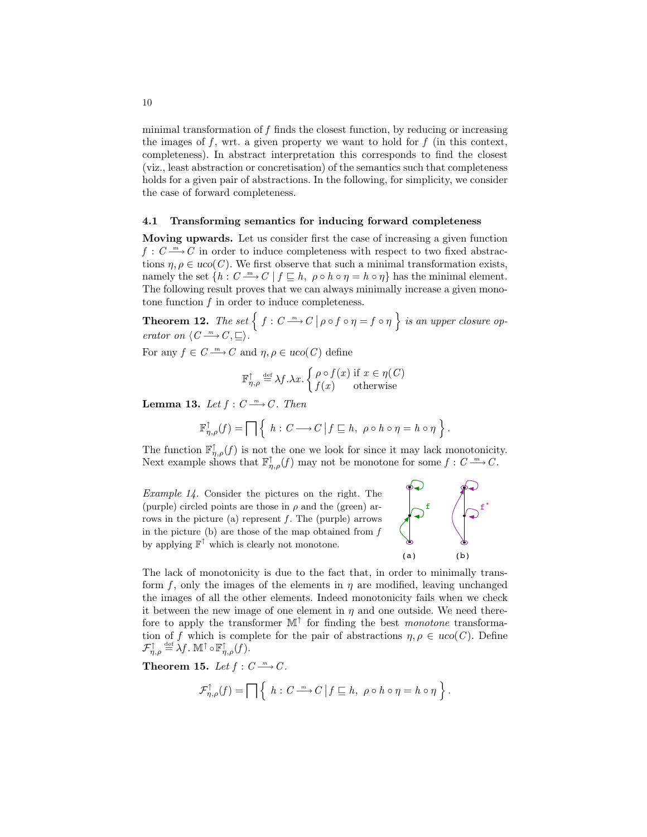minimal transformation of  $f$  finds the closest function, by reducing or increasing the images of f, wrt. a given property we want to hold for  $f$  (in this context, completeness). In abstract interpretation this corresponds to find the closest (viz., least abstraction or concretisation) of the semantics such that completeness holds for a given pair of abstractions. In the following, for simplicity, we consider the case of forward completeness.

#### 4.1 Transforming semantics for inducing forward completeness

Moving upwards. Let us consider first the case of increasing a given function  $f: C \longrightarrow C$  in order to induce completeness with respect to two fixed abstractions  $\eta, \rho \in uco(C)$ . We first observe that such a minimal transformation exists, namely the set  $\{h : C \longrightarrow C \mid f \sqsubseteq h, \rho \circ h \circ \eta = h \circ \eta\}$  has the minimal element. The following result proves that we can always minimally increase a given monotone function  $f$  in order to induce completeness.

**Theorem 12.** The set  $\left\{ f : C \longrightarrow C \mid \rho \circ f \circ \eta = f \circ \eta \right\}$  is an upper closure operator on  $\langle C \stackrel{m}{\longrightarrow} C, \sqsubseteq \rangle$ .

For any  $f \in C \longrightarrow C$  and  $\eta, \rho \in uco(C)$  define

$$
\mathbb{F}_{\eta,\rho}^{\uparrow} \stackrel{\text{def}}{=} \lambda f. \lambda x. \begin{cases} \rho \circ f(x) & \text{if } x \in \eta(C) \\ f(x) & \text{otherwise} \end{cases}
$$

**Lemma 13.** Let  $f: C \longrightarrow C$ . Then

$$
\mathbb{F}_{\eta,\rho}^{\uparrow}(f) = \prod \left\{ h : C \longrightarrow C \, \middle| f \sqsubseteq h, \ \rho \circ h \circ \eta = h \circ \eta \right\}.
$$

The function  $\mathbb{F}^{\uparrow}_{\eta,\rho}(f)$  is not the one we look for since it may lack monotonicity. Next example shows that  $\mathbb{F}^{\uparrow}_{n,\rho}(f)$  may not be monotone for some  $f: C \longrightarrow C$ .

Example 14. Consider the pictures on the right. The (purple) circled points are those in  $\rho$  and the (green) arrows in the picture (a) represent  $f$ . The (purple) arrows in the picture  $(b)$  are those of the map obtained from  $f$ by applying  $\mathbb{F}^{\uparrow}$  which is clearly not monotone.



The lack of monotonicity is due to the fact that, in order to minimally transform f, only the images of the elements in  $\eta$  are modified, leaving unchanged the images of all the other elements. Indeed monotonicity fails when we check it between the new image of one element in  $\eta$  and one outside. We need therefore to apply the transformer  $\mathbb{M}^{\uparrow}$  for finding the best *monotone* transformation of f which is complete for the pair of abstractions  $\eta, \rho \in u\text{co}(C)$ . Define  $\mathcal{F}_{\eta,\rho}^{\uparrow}\stackrel{\scriptscriptstyle\rm def}{=} \lambda f$  .  $\mathbb{M}^{\uparrow}\circ \mathbb{F}_{\eta,\rho}^{\uparrow}(f)$  .

Theorem 15. Let  $f: C \longrightarrow C$ .

$$
\mathcal{F}_{\eta,\rho}^{\uparrow}(f) = \prod \left\{ h : C \xrightarrow{m} C \middle| f \sqsubseteq h, \ \rho \circ h \circ \eta = h \circ \eta \right\}.
$$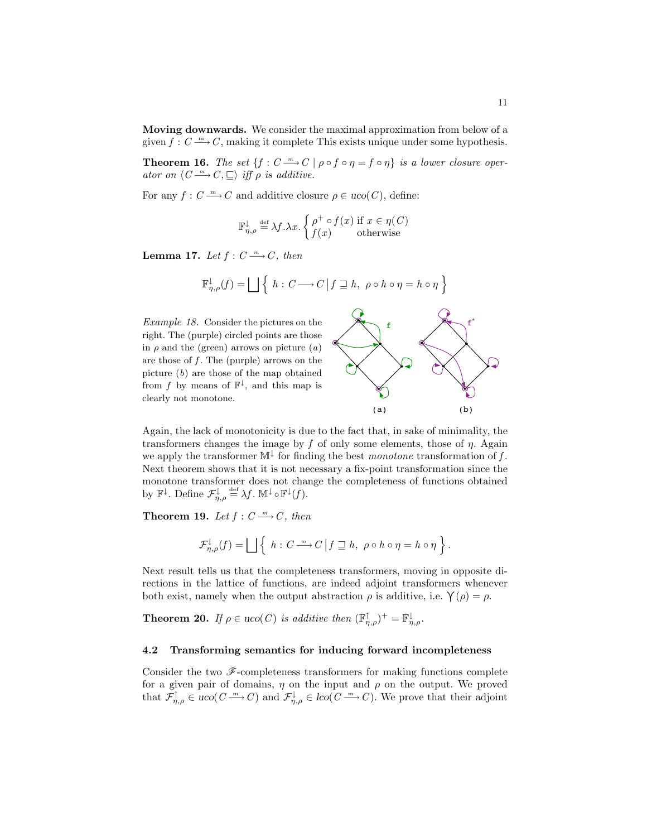Moving downwards. We consider the maximal approximation from below of a given  $f: C \longrightarrow C$ , making it complete This exists unique under some hypothesis.

**Theorem 16.** The set  $\{f : C \longrightarrow C \mid \rho \circ f \circ \eta = f \circ \eta\}$  is a lower closure operator on  $\langle C \longrightarrow C, \sqsubseteq \rangle$  iff  $\rho$  is additive.

For any  $f: C \longrightarrow C$  and additive closure  $\rho \in uco(C)$ , define:

$$
\mathbb{F}_{\eta,\rho}^{\downarrow} \stackrel{\text{def}}{=} \lambda f. \lambda x. \begin{cases} \rho^+ \circ f(x) \text{ if } x \in \eta(C) \\ f(x) \text{ otherwise} \end{cases}
$$

Lemma 17. Let  $f: C \longrightarrow C$ , then

$$
\mathbb{F}_{\eta,\rho}^{\downarrow}(f) = \bigsqcup \left\{ h : C \longrightarrow C \, \middle| \, f \sqsupseteq h, \, \rho \circ h \circ \eta = h \circ \eta \right\}
$$

Example 18. Consider the pictures on the right. The (purple) circled points are those in  $\rho$  and the (green) arrows on picture  $(a)$ are those of  $f$ . The (purple) arrows on the picture  $(b)$  are those of the map obtained from f by means of  $\mathbb{F}^{\downarrow}$ , and this map is clearly not monotone.



Again, the lack of monotonicity is due to the fact that, in sake of minimality, the transformers changes the image by f of only some elements, those of  $\eta$ . Again we apply the transformer  $\mathbb{M}^{\downarrow}$  for finding the best monotone transformation of f. Next theorem shows that it is not necessary a fix-point transformation since the monotone transformer does not change the completeness of functions obtained by  $\mathbb{F}^{\downarrow}$ . Define  $\mathcal{F}_{\eta,\rho}^{\downarrow} \stackrel{\text{def}}{=} \lambda f$ .  $\mathbb{M}^{\downarrow} \circ \mathbb{F}^{\downarrow}(f)$ .

**Theorem 19.** Let  $f: C \longrightarrow C$ , then

$$
\mathcal{F}_{\eta,\rho}^{\downarrow}(f) = \bigsqcup \left\{ h : C \xrightarrow{m} C \, \middle| \, f \sqsupseteq h, \, \rho \circ h \circ \eta = h \circ \eta \right\}.
$$

Next result tells us that the completeness transformers, moving in opposite directions in the lattice of functions, are indeed adjoint transformers whenever both exist, namely when the output abstraction  $\rho$  is additive, i.e.  $\gamma(\rho) = \rho$ .

**Theorem 20.** If  $\rho \in uco(C)$  is additive then  $(\mathbb{F}_{\eta,\rho}^{\uparrow})^+ = \mathbb{F}_{\eta,\rho}^{\downarrow}$ .

#### 4.2 Transforming semantics for inducing forward incompleteness

Consider the two  $\mathscr{F}-$ completeness transformers for making functions complete for a given pair of domains,  $\eta$  on the input and  $\rho$  on the output. We proved that  $\mathcal{F}_{\eta,\rho}^{\uparrow} \in \text{uco}(C \longrightarrow C)$  and  $\mathcal{F}_{\eta,\rho}^{\downarrow} \in \text{loc}(C \longrightarrow C)$ . We prove that their adjoint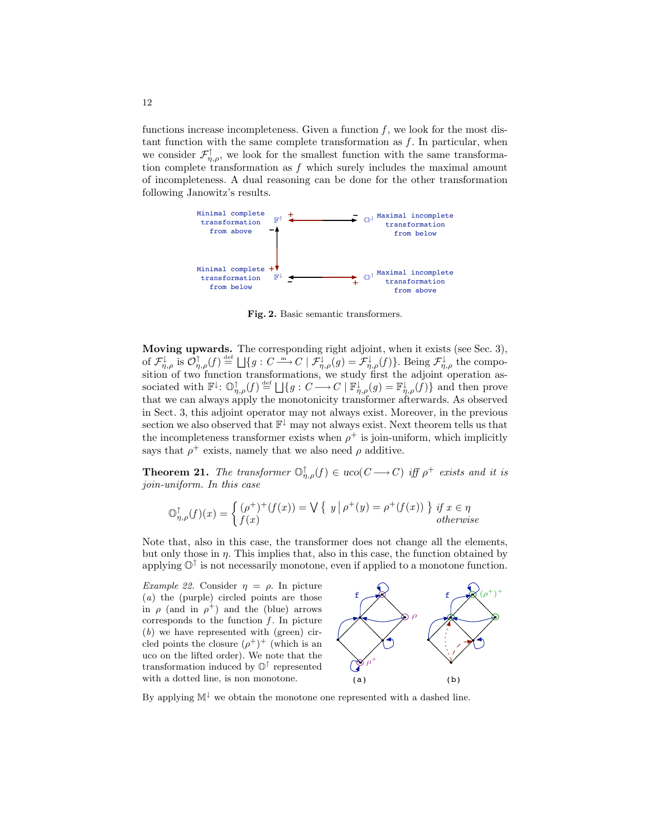functions increase incompleteness. Given a function  $f$ , we look for the most distant function with the same complete transformation as  $f$ . In particular, when we consider  $\mathcal{F}_{\eta,\rho}^{\uparrow}$ , we look for the smallest function with the same transformation complete transformation as  $f$  which surely includes the maximal amount of incompleteness. A dual reasoning can be done for the other transformation following Janowitz's results.



Fig. 2. Basic semantic transformers.

Moving upwards. The corresponding right adjoint, when it exists (see Sec. 3), of  $\mathcal{F}_{\eta,\rho}^{\downarrow}$  is  $\mathcal{O}_{\eta,\rho}^{\uparrow}(f) \stackrel{\text{def}}{=} \bigsqcup\{g: C \stackrel{\text{m}}{\longrightarrow} C \mid \mathcal{F}_{\eta,\rho}^{\downarrow}(g) = \mathcal{F}_{\eta,\rho}^{\downarrow}(f)\}.$  Being  $\mathcal{F}_{\eta,\rho}^{\downarrow}$  the composition of two function transformations, we study first the adjoint operation associated with  $\mathbb{F}^{\downarrow}$ :  $\mathbb{O}_{\eta,\rho}^{\uparrow}(f) \stackrel{\text{def}}{=} \bigsqcup\{g: C \longrightarrow C \mid \mathbb{F}_{\eta,\rho}^{\downarrow}(g) = \mathbb{F}_{\eta,\rho}^{\downarrow}(f)\}$  and then prove that we can always apply the monotonicity transformer afterwards. As observed in Sect. 3, this adjoint operator may not always exist. Moreover, in the previous section we also observed that  $\mathbb{F}^{\downarrow}$  may not always exist. Next theorem tells us that the incompleteness transformer exists when  $\rho^+$  is join-uniform, which implicitly says that  $\rho^+$  exists, namely that we also need  $\rho$  additive.

**Theorem 21.** The transformer  $\mathbb{O}_{\eta,\rho}^{\uparrow}(f) \in \text{uco}(C \rightarrow C)$  iff  $\rho^+$  exists and it is join-uniform. In this case

$$
\mathbb{O}_{\eta,\rho}^{\uparrow}(f)(x) = \begin{cases} (\rho^+)^+(f(x)) = \bigvee \left\{ \begin{array}{c} y \mid \rho^+(y) = \rho^+(f(x)) \end{array} \right\} \text{ if } x \in \eta \\ \text{otherwise} \end{cases}
$$

Note that, also in this case, the transformer does not change all the elements, but only those in  $\eta$ . This implies that, also in this case, the function obtained by applying O<sup>↑</sup> is not necessarily monotone, even if applied to a monotone function.

Example 22. Consider  $\eta = \rho$ . In picture (a) the (purple) circled points are those in  $\rho$  (and in  $\rho^+$ ) and the (blue) arrows corresponds to the function  $f$ . In picture (b) we have represented with (green) circled points the closure  $(\rho^+)^+$  (which is an uco on the lifted order). We note that the transformation induced by  $\mathbb{O}^{\uparrow}$  represented with a dotted line, is non monotone.



By applying  $\mathbb{M}^{\downarrow}$  we obtain the monotone one represented with a dashed line.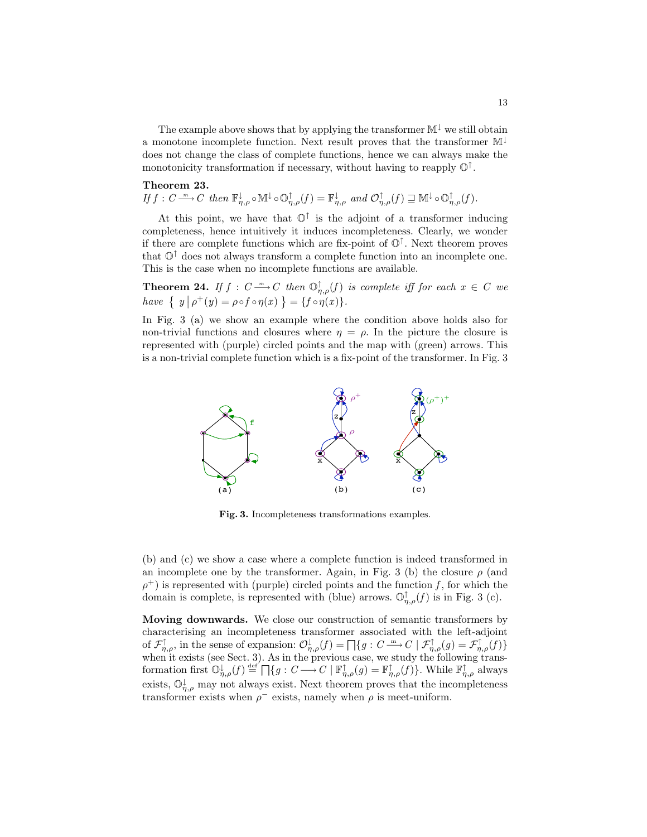The example above shows that by applying the transformer  $M^{\downarrow}$  we still obtain a monotone incomplete function. Next result proves that the transformer M<sup>↓</sup> does not change the class of complete functions, hence we can always make the monotonicity transformation if necessary, without having to reapply  $\mathbb{O}^{\uparrow}$ .

## Theorem 23.

If  $f: C \longrightarrow C$  then  $\mathbb{F}_{\eta,\rho}^{\downarrow} \circ \mathbb{M}^{\downarrow} \circ \mathbb{O}_{\eta,\rho}^{\uparrow}(f) = \mathbb{F}_{\eta,\rho}^{\downarrow}$  and  $\mathcal{O}_{\eta,\rho}^{\uparrow}(f) \sqsupseteq \mathbb{M}^{\downarrow} \circ \mathbb{O}_{\eta,\rho}^{\uparrow}(f)$ .

At this point, we have that  $\mathbb{O}^{\uparrow}$  is the adjoint of a transformer inducing completeness, hence intuitively it induces incompleteness. Clearly, we wonder if there are complete functions which are fix-point of O<sup>↑</sup> . Next theorem proves that  $\mathbb{O}^{\uparrow}$  does not always transform a complete function into an incomplete one. This is the case when no incomplete functions are available.

**Theorem 24.** If  $f : C \longrightarrow C$  then  $\mathbb{O}_{\eta,\rho}^{\uparrow}(f)$  is complete iff for each  $x \in C$  we have  $\{ y \mid \rho^+(y) = \rho \circ f \circ \eta(x) \} = \{ f \circ \eta(x) \}.$ 

In Fig. 3 (a) we show an example where the condition above holds also for non-trivial functions and closures where  $\eta = \rho$ . In the picture the closure is represented with (purple) circled points and the map with (green) arrows. This is a non-trivial complete function which is a fix-point of the transformer. In Fig. 3



Fig. 3. Incompleteness transformations examples.

(b) and (c) we show a case where a complete function is indeed transformed in an incomplete one by the transformer. Again, in Fig. 3 (b) the closure  $\rho$  (and  $\rho^+$ ) is represented with (purple) circled points and the function f, for which the domain is complete, is represented with (blue) arrows.  $\mathbb{O}_{\eta,\rho}^{\uparrow}(f)$  is in Fig. 3 (c).

Moving downwards. We close our construction of semantic transformers by characterising an incompleteness transformer associated with the left-adjoint of  $\mathcal{F}_{\eta,\rho}^{\uparrow}$ , in the sense of expansion:  $\mathcal{O}_{\eta,\rho}^{\downarrow}(f) = \prod\{g : C \longrightarrow C \mid \mathcal{F}_{\eta,\rho}^{\uparrow}(g) = \mathcal{F}_{\eta,\rho}^{\uparrow}(f)\}$ when it exists (see Sect. 3). As in the previous case, we study the following transformation first  $\mathbb{O}_{\eta,\rho}^{\downarrow}(f) \stackrel{\text{def}}{=} \prod\{g: C \longrightarrow C \mid \mathbb{F}_{\eta,\rho}^{\uparrow}(g) = \mathbb{F}_{\eta,\rho}^{\uparrow}(f)\}\.$  While  $\mathbb{F}_{\eta,\rho}^{\uparrow}$  always exists,  $\mathbb{O}_{\eta,\rho}^{\downarrow}$  may not always exist. Next theorem proves that the incompleteness transformer exists when  $\rho^-$  exists, namely when  $\rho$  is meet-uniform.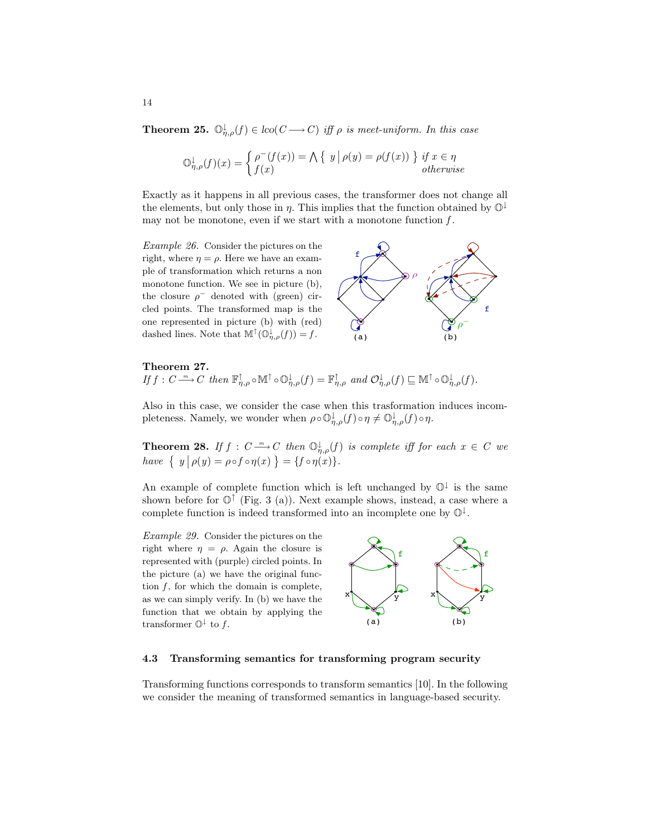**Theorem 25.**  $\mathbb{O}_{\eta,\rho}^{\downarrow}(f) \in \text{loc}(C \longrightarrow C)$  iff  $\rho$  is meet-uniform. In this case

$$
\mathbb{O}_{\eta,\rho}^{\downarrow}(f)(x) = \begin{cases} \rho^{-}(f(x)) = \bigwedge \left\{ y \, \middle| \, \rho(y) = \rho(f(x)) \right\} \text{ if } x \in \eta \\ f(x) \qquad \text{otherwise} \end{cases}
$$

Exactly as it happens in all previous cases, the transformer does not change all the elements, but only those in  $\eta$ . This implies that the function obtained by  $\mathbb{O}^{\downarrow}$ may not be monotone, even if we start with a monotone function  $f$ .

Example 26. Consider the pictures on the right, where  $\eta = \rho$ . Here we have an example of transformation which returns a non monotone function. We see in picture (b), the closure  $\rho^-$  denoted with (green) circled points. The transformed map is the one represented in picture (b) with (red) dashed lines. Note that  $\mathbb{M}^{\uparrow}(\mathbb{O}_{\eta,\rho}^{\downarrow}(f))=f$ .



## Theorem 27.

If  $f: C \longrightarrow C$  then  $\mathbb{F}_{\eta,\rho}^{\uparrow} \circ \mathbb{M}^{\uparrow} \circ \mathbb{O}_{\eta,\rho}^{\downarrow}(f) = \mathbb{F}_{\eta,\rho}^{\uparrow}$  and  $\mathcal{O}_{\eta,\rho}^{\downarrow}(f) \sqsubseteq \mathbb{M}^{\uparrow} \circ \mathbb{O}_{\eta,\rho}^{\downarrow}(f)$ .

Also in this case, we consider the case when this trasformation induces incompleteness. Namely, we wonder when  $\rho \circ \mathbb{O}_{\eta,\rho}^{\downarrow}(f) \circ \eta \neq \mathbb{O}_{\eta,\rho}^{\downarrow}(f) \circ \eta$ .

**Theorem 28.** If  $f : C \longrightarrow C$  then  $\mathbb{O}_{n,\rho}^{\downarrow}(f)$  is complete iff for each  $x \in C$  we have  $\{ y \mid \rho(y) = \rho \circ f \circ \eta(x) \} = \{ f \circ \eta(x) \}.$ 

An example of complete function which is left unchanged by  $\mathbb{O}^{\downarrow}$  is the same shown before for  $\mathbb{O}^{\uparrow}$  (Fig. 3 (a)). Next example shows, instead, a case where a complete function is indeed transformed into an incomplete one by  $\mathbb{O}^{\downarrow}$ .

Example 29. Consider the pictures on the right where  $\eta = \rho$ . Again the closure is represented with (purple) circled points. In the picture (a) we have the original function  $f$ , for which the domain is complete, as we can simply verify. In (b) we have the function that we obtain by applying the transformer  $\mathbb{O}^{\downarrow}$  to f.



#### 4.3 Transforming semantics for transforming program security

Transforming functions corresponds to transform semantics [10]. In the following we consider the meaning of transformed semantics in language-based security.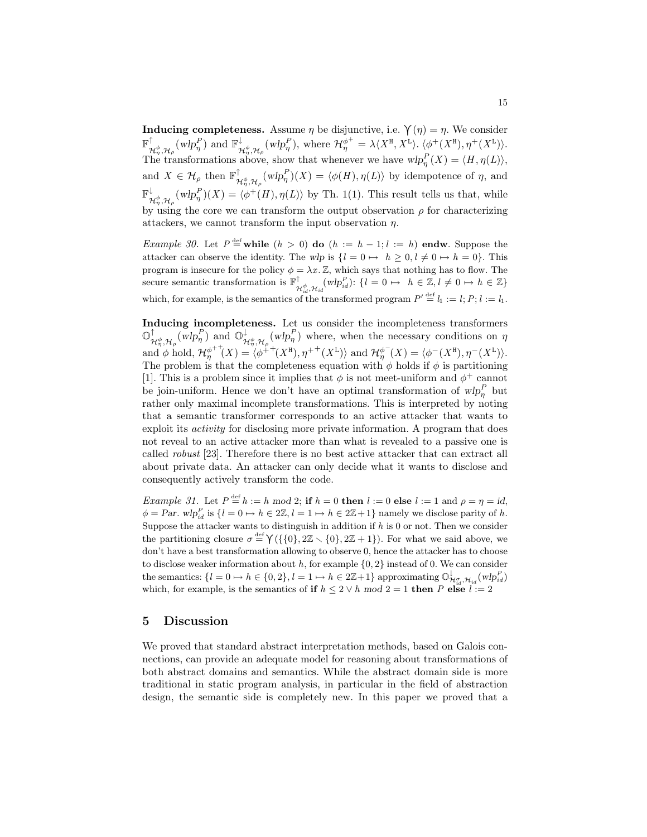**Inducing completeness.** Assume  $\eta$  be disjunctive, i.e.  $\gamma(\eta) = \eta$ . We consider  $\mathbb{F}^{\uparrow}$  $\mathcal{H}_{\eta}^{\phi}, \mathcal{H}_{\rho}^{\phantom{\phi}}$  (wlp $_{\eta}^{P}$ ) and  $\mathbb{F}_{\gamma}^{\downarrow}$  $\mathcal{H}_{\eta}^{\phi}$ ,  $\mathcal{H}_{\rho}^{\rho}$  (wlp<sub></sub><sup>n</sup></sub>), where  $\mathcal{H}_{\eta}^{\phi^+} = \lambda \langle X^{\mathbf{H}}, X^{\mathbf{L}} \rangle$ .  $\langle \phi^+(X^{\mathbf{H}}), \eta^+(X^{\mathbf{L}}) \rangle$ . The transformations above, show that whenever we have  $wlp_{\eta}^{P}(X) = \langle H, \eta(L) \rangle$ , and  $X \in \mathcal{H}_{\rho}$  then  $\mathbb{F}_{p}^{\uparrow}$  $\bigwedge_{\mathcal{H}_{\eta}^{\phi},\mathcal{H}_{\rho}}^{T} (w l p_{\eta}^{P})(X) = \langle \phi(H), \eta(L) \rangle$  by idempotence of  $\eta$ , and  $\mathbb{F}^{\downarrow}$  $\downarrow^{\downarrow}$ <br>  $\mathcal{H}^{\phi}_{\eta}, \mathcal{H}_{\rho}$  (wlp $_{\eta}^{P}$ )(X) =  $\langle \phi^{+}(H), \eta(L) \rangle$  by Th. 1(1). This result tells us that, while by using the core we can transform the output observation  $\rho$  for characterizing attackers, we cannot transform the input observation  $\eta$ .

*Example 30.* Let  $P \stackrel{\text{def}}{=}$  while  $(h > 0)$  do  $(h := h - 1; l := h)$  endw. Suppose the attacker can observe the identity. The wlp is  $\{l = 0 \mapsto h \geq 0, l \neq 0 \mapsto h = 0\}$ . This program is insecure for the policy  $\phi = \lambda x$ . Z, which says that nothing has to flow. The secure semantic transformation is  $\mathbb{F}^{\uparrow}_{\mathcal{H}_{id}^{d},\mathcal{H}_{id}}(wlp_{id}^{P})$ :  $\{l=0 \mapsto h \in \mathbb{Z}, l \neq 0 \mapsto h \in \mathbb{Z}\}\$ which, for example, is the semantics of the transformed program  $P' \stackrel{\text{def}}{=} l_1 := l; P; l := l_1$ .

Inducing incompleteness. Let us consider the incompleteness transformers  $\mathbb{O}^\uparrow$  $\mathcal{H}_{\eta}^{\phi}, \mathcal{H}_{\rho}(\overline{w}lp_{\eta}^P)$  and  $\mathbb{O}_{\mathcal{H}}^{\downarrow}$  $\psi_{\mathcal{H}_{\eta}^{\phi},\mathcal{H}_{\rho}}(w l p_{\eta}^{P})$  where, when the necessary conditions on  $\eta$ and  $\phi$  hold,  $\mathcal{H}_n^{\phi^{++}}$  $\phi_{\eta}^{++}(X) = \langle \phi^{++}(X^{\text{H}}), \eta^{++}(X^{\text{L}}) \rangle$  and  $\mathcal{H}_{\eta}^{\phi^{-}}(X) = \langle \phi^{-}(X^{\text{H}}), \eta^{-}(X^{\text{L}}) \rangle$ . The problem is that the completeness equation with  $\phi$  holds if  $\phi$  is partitioning [1]. This is a problem since it implies that  $\phi$  is not meet-uniform and  $\phi^+$  cannot be join-uniform. Hence we don't have an optimal transformation of  $wlp_{\eta}^P$  but rather only maximal incomplete transformations. This is interpreted by noting that a semantic transformer corresponds to an active attacker that wants to exploit its activity for disclosing more private information. A program that does not reveal to an active attacker more than what is revealed to a passive one is called robust [23]. Therefore there is no best active attacker that can extract all about private data. An attacker can only decide what it wants to disclose and consequently actively transform the code.

*Example 31.* Let  $P \stackrel{\text{def}}{=} h := h \mod 2$ ; if  $h = 0$  then  $l := 0$  else  $l := 1$  and  $\rho = \eta = id$ ,  $\phi = Par. \ wlp_{id}^P$  is  $\{l = 0 \mapsto h \in 2\mathbb{Z}, l = 1 \mapsto h \in 2\mathbb{Z} + 1\}$  namely we disclose parity of h. Suppose the attacker wants to distinguish in addition if  $h$  is 0 or not. Then we consider the partitioning closure  $\sigma \stackrel{\text{def}}{=} \gamma(\{\{0\}, 2\mathbb{Z} \setminus \{0\}, 2\mathbb{Z} + 1\})$ . For what we said above, we don't have a best transformation allowing to observe 0, hence the attacker has to choose to disclose weaker information about  $h$ , for example  $\{0, 2\}$  instead of 0. We can consider the semantics:  $\{l = 0 \mapsto h \in \{0, 2\}, l = 1 \mapsto h \in 2\mathbb{Z}+1\}$  approximating  $\mathbb{O}_{\mathcal{H}_{id}^{\sigma}, \mathcal{H}_{id}}^{\downarrow}(wlp_{id}^P)$ which, for example, is the semantics of if  $h \leq 2 \vee h \mod 2 = 1$  then P else  $l := 2$ 

# 5 Discussion

We proved that standard abstract interpretation methods, based on Galois connections, can provide an adequate model for reasoning about transformations of both abstract domains and semantics. While the abstract domain side is more traditional in static program analysis, in particular in the field of abstraction design, the semantic side is completely new. In this paper we proved that a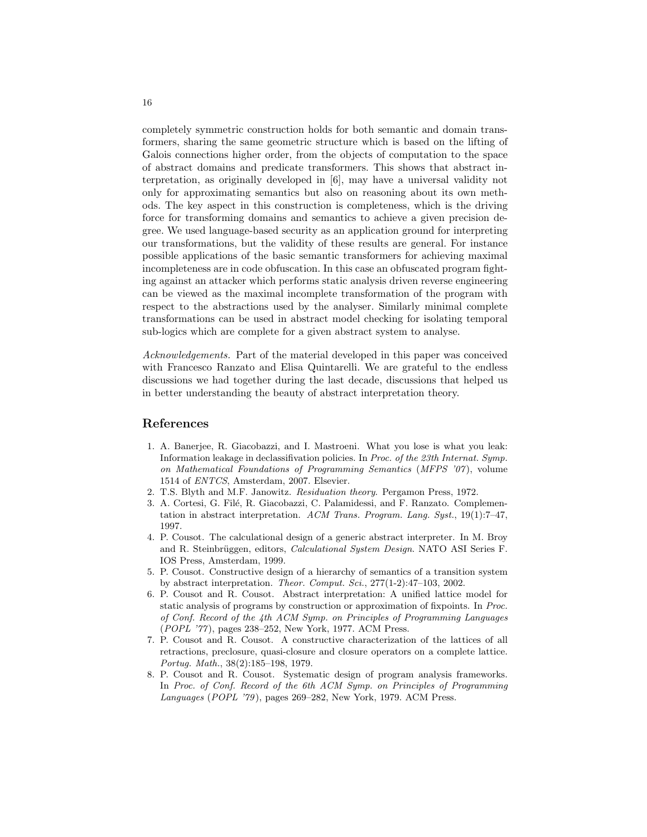completely symmetric construction holds for both semantic and domain transformers, sharing the same geometric structure which is based on the lifting of Galois connections higher order, from the objects of computation to the space of abstract domains and predicate transformers. This shows that abstract interpretation, as originally developed in [6], may have a universal validity not only for approximating semantics but also on reasoning about its own methods. The key aspect in this construction is completeness, which is the driving force for transforming domains and semantics to achieve a given precision degree. We used language-based security as an application ground for interpreting our transformations, but the validity of these results are general. For instance possible applications of the basic semantic transformers for achieving maximal incompleteness are in code obfuscation. In this case an obfuscated program fighting against an attacker which performs static analysis driven reverse engineering can be viewed as the maximal incomplete transformation of the program with respect to the abstractions used by the analyser. Similarly minimal complete transformations can be used in abstract model checking for isolating temporal sub-logics which are complete for a given abstract system to analyse.

Acknowledgements. Part of the material developed in this paper was conceived with Francesco Ranzato and Elisa Quintarelli. We are grateful to the endless discussions we had together during the last decade, discussions that helped us in better understanding the beauty of abstract interpretation theory.

# References

- 1. A. Banerjee, R. Giacobazzi, and I. Mastroeni. What you lose is what you leak: Information leakage in declassifivation policies. In Proc. of the 23th Internat. Symp. on Mathematical Foundations of Programming Semantics (MFPS '07 ), volume 1514 of ENTCS, Amsterdam, 2007. Elsevier.
- 2. T.S. Blyth and M.F. Janowitz. Residuation theory. Pergamon Press, 1972.
- 3. A. Cortesi, G. Filé, R. Giacobazzi, C. Palamidessi, and F. Ranzato. Complementation in abstract interpretation. ACM Trans. Program. Lang. Syst., 19(1):7–47, 1997.
- 4. P. Cousot. The calculational design of a generic abstract interpreter. In M. Broy and R. Steinbrüggen, editors, *Calculational System Design*. NATO ASI Series F. IOS Press, Amsterdam, 1999.
- 5. P. Cousot. Constructive design of a hierarchy of semantics of a transition system by abstract interpretation. Theor. Comput. Sci., 277(1-2):47–103, 2002.
- 6. P. Cousot and R. Cousot. Abstract interpretation: A unified lattice model for static analysis of programs by construction or approximation of fixpoints. In Proc. of Conf. Record of the 4th ACM Symp. on Principles of Programming Languages (POPL '77 ), pages 238–252, New York, 1977. ACM Press.
- 7. P. Cousot and R. Cousot. A constructive characterization of the lattices of all retractions, preclosure, quasi-closure and closure operators on a complete lattice. Portug. Math., 38(2):185–198, 1979.
- 8. P. Cousot and R. Cousot. Systematic design of program analysis frameworks. In Proc. of Conf. Record of the 6th ACM Symp. on Principles of Programming Languages (POPL '79), pages 269–282, New York, 1979. ACM Press.